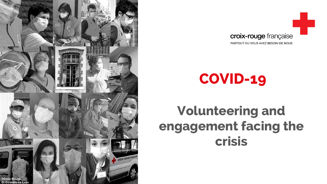



# **COVID-19**

## **Volunteering and engagement facing the crisis**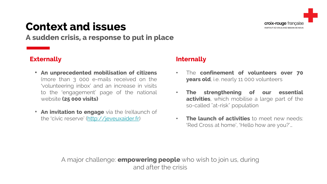

### **Context and issues**

**A sudden crisis, a response to put in place**

#### **Externally**

- **An unprecedented mobilisation of citizens** (more than 3 000 e-mails received on the 'volunteering inbox' and an increase in visits to the 'engagement' page of the national website **(25 000 visits)**
- **An invitation to engage** via the (re)launch of the 'civic reserve' [\(http://jeveuxaider.fr](http://jeveuxaider.fr/))

#### **Internally**

- The **confinement of volunteers over 70 years old**, i.e. nearly 11 000 volunteers
- **The strengthening of our essential activities**, which mobilise a large part of the so-called "at-risk" population
- **The launch of activities** to meet new needs: 'Red Cross at home', 'Hello how are you?'…

A major challenge: **empowering people** who wish to join us, during and after the crisis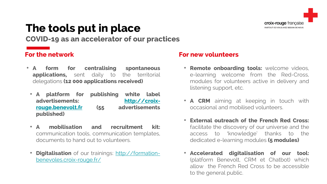### **The tools put in place**

**COVID-19 as an accelerator of our practices**

#### **For the network**

- **A form for centralising spontaneous applications,** sent daily to the territorial delegations **(12 000 applications received)**
	- **A platform for publishing white label advertisements: http://croix[rouge.benevolt.fr](http://croix-rouge.benevolt.fr/) (55 advertisements published)**
	- **A mobilisation and recruitment kit:** communication tools, communication templates, documents to hand out to volunteers.
	- **Digitalisation** of our trainings: http://formation[benevoles.croix-rouge.fr/](http://formation-benevoles.croix-rouge.fr/)

#### **For new volunteers**

- **Remote onboarding tools:** welcome videos, e-learning welcome from the Red-Cross, modules for volunteers active in delivery and listening support, etc.
- **A CRM** aiming at keeping in touch with occasional and mobilised volunteers.
- **External outreach of the French Red Cross:** facilitate the discovery of our universe and the access to 'knowledge' thanks to the dedicated e-learning modules **(5 modules)**
- **Accelerated digitalisation of our tool:** (platform Benevolt, CRM et Chatbot) which allow the French Red Cross to be accessible to the general public.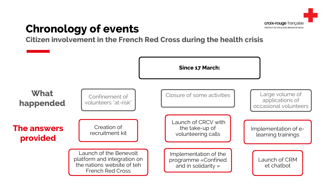

### **Chronology of events**

**Citizen involvement in the French Red Cross during the health crisis**